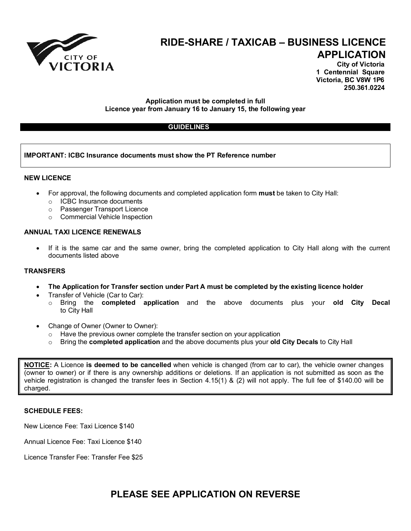

# **RIDE-SHARE / TAXICAB – BUSINESS LICENCE APPLICATION**

**City of Victoria 1 Centennial Square Victoria, BC V8W 1P6 250.361.0224**

## **Application must be completed in full Licence year from January 16 to January 15, the following year**

## **GUIDELINES**

## **IMPORTANT: ICBC Insurance documents must show the PT Reference number**

#### **NEW LICENCE**

- For approval, the following documents and completed application form **must** be taken to City Hall:
	- o ICBC Insurance documents
	- o Passenger Transport Licence
	- o Commercial Vehicle Inspection

## **ANNUAL TAXI LICENCE RENEWALS**

If it is the same car and the same owner, bring the completed application to City Hall along with the current documents listed above

#### **TRANSFERS**

- **The Application for Transfer section under Part A must be completed by the existing licence holder**
- Transfer of Vehicle (Car to Car):
	- o Bring the **completed application** and the above documents plus your **old City Decal**  to City Hall
- Change of Owner (Owner to Owner):
	- $\circ$  Have the previous owner complete the transfer section on your application  $\circ$  Bring the **completed application** and the above documents plus your **old**
	- o Bring the **completed application** and the above documents plus your **old City Decals** to City Hall

**NOTICE:** A Licence **is deemed to be cancelled** when vehicle is changed (from car to car), the vehicle owner changes (owner to owner) or if there is any ownership additions or deletions. If an application is not submitted as soon as the vehicle registration is changed the transfer fees in Section 4.15(1) & (2) will not apply. The full fee of \$140.00 will be charged.

#### **SCHEDULE FEES:**

New Licence Fee: Taxi Licence \$140

Annual Licence Fee: Taxi Licence \$140

Licence Transfer Fee: Transfer Fee \$25

# **PLEASE SEE APPLICATION ON REVERSE**